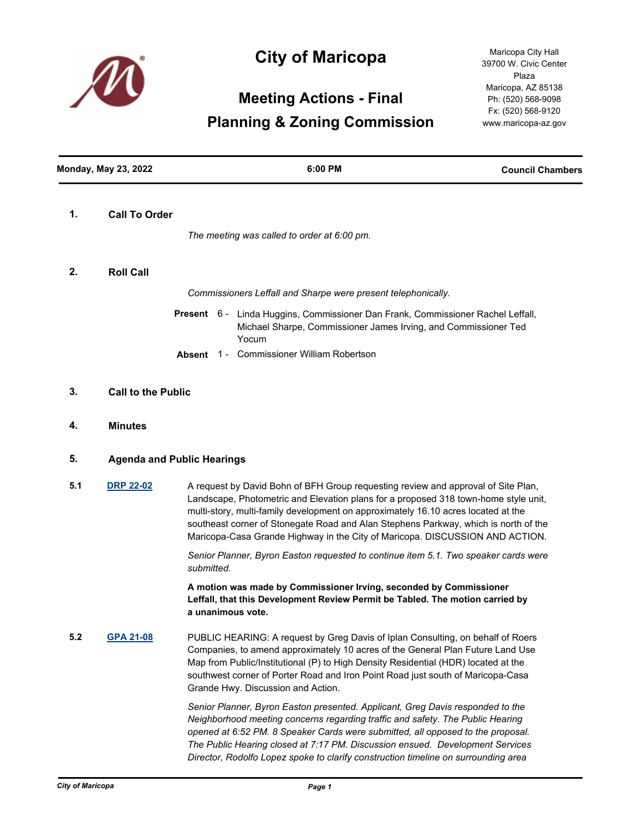

## **City of Maricopa**

# **Meeting Actions - Final Planning & Zoning Commission**

Maricopa City Hall 39700 W. Civic Center Plaza Maricopa, AZ 85138 Ph: (520) 568-9098 Fx: (520) 568-9120 www.maricopa-az.gov

|     | <b>Monday, May 23, 2022</b> | 6:00 PM                                                                                                                                                                                                                                                                                                                                                                                                                              | <b>Council Chambers</b> |  |
|-----|-----------------------------|--------------------------------------------------------------------------------------------------------------------------------------------------------------------------------------------------------------------------------------------------------------------------------------------------------------------------------------------------------------------------------------------------------------------------------------|-------------------------|--|
| 1.  | <b>Call To Order</b>        | The meeting was called to order at 6:00 pm.                                                                                                                                                                                                                                                                                                                                                                                          |                         |  |
|     |                             |                                                                                                                                                                                                                                                                                                                                                                                                                                      |                         |  |
| 2.  | <b>Roll Call</b>            |                                                                                                                                                                                                                                                                                                                                                                                                                                      |                         |  |
|     |                             | Commissioners Leffall and Sharpe were present telephonically.                                                                                                                                                                                                                                                                                                                                                                        |                         |  |
|     |                             | Present 6 - Linda Huggins, Commissioner Dan Frank, Commissioner Rachel Leffall,<br>Michael Sharpe, Commissioner James Irving, and Commissioner Ted<br>Yocum                                                                                                                                                                                                                                                                          |                         |  |
|     |                             | Absent 1 - Commissioner William Robertson                                                                                                                                                                                                                                                                                                                                                                                            |                         |  |
| 3.  |                             | <b>Call to the Public</b>                                                                                                                                                                                                                                                                                                                                                                                                            |                         |  |
| 4.  | <b>Minutes</b>              |                                                                                                                                                                                                                                                                                                                                                                                                                                      |                         |  |
| 5.  |                             | <b>Agenda and Public Hearings</b>                                                                                                                                                                                                                                                                                                                                                                                                    |                         |  |
| 5.1 | <b>DRP 22-02</b>            | A request by David Bohn of BFH Group requesting review and approval of Site Plan,<br>Landscape, Photometric and Elevation plans for a proposed 318 town-home style unit,<br>multi-story, multi-family development on approximately 16.10 acres located at the<br>southeast corner of Stonegate Road and Alan Stephens Parkway, which is north of the<br>Maricopa-Casa Grande Highway in the City of Maricopa. DISCUSSION AND ACTION. |                         |  |
|     |                             | Senior Planner, Byron Easton requested to continue item 5.1. Two speaker cards were<br>submitted.                                                                                                                                                                                                                                                                                                                                    |                         |  |
|     |                             | A motion was made by Commissioner Irving, seconded by Commissioner<br>Leffall, that this Development Review Permit be Tabled. The motion carried by<br>a unanimous vote.                                                                                                                                                                                                                                                             |                         |  |
| 5.2 | <b>GPA 21-08</b>            | PUBLIC HEARING: A request by Greg Davis of Iplan Consulting, on behalf of Roers<br>Companies, to amend approximately 10 acres of the General Plan Future Land Use<br>Map from Public/Institutional (P) to High Density Residential (HDR) located at the<br>southwest corner of Porter Road and Iron Point Road just south of Maricopa-Casa<br>Grande Hwy. Discussion and Action.                                                     |                         |  |
|     |                             | Senior Planner, Byron Easton presented. Applicant, Greg Davis responded to the<br>Neighborhood meeting concerns regarding traffic and safety. The Public Hearing<br>opened at 6:52 PM. 8 Speaker Cards were submitted, all opposed to the proposal.<br>The Public Hearing closed at 7:17 PM. Discussion ensued. Development Services<br>Director, Rodolfo Lopez spoke to clarify construction timeline on surrounding area           |                         |  |